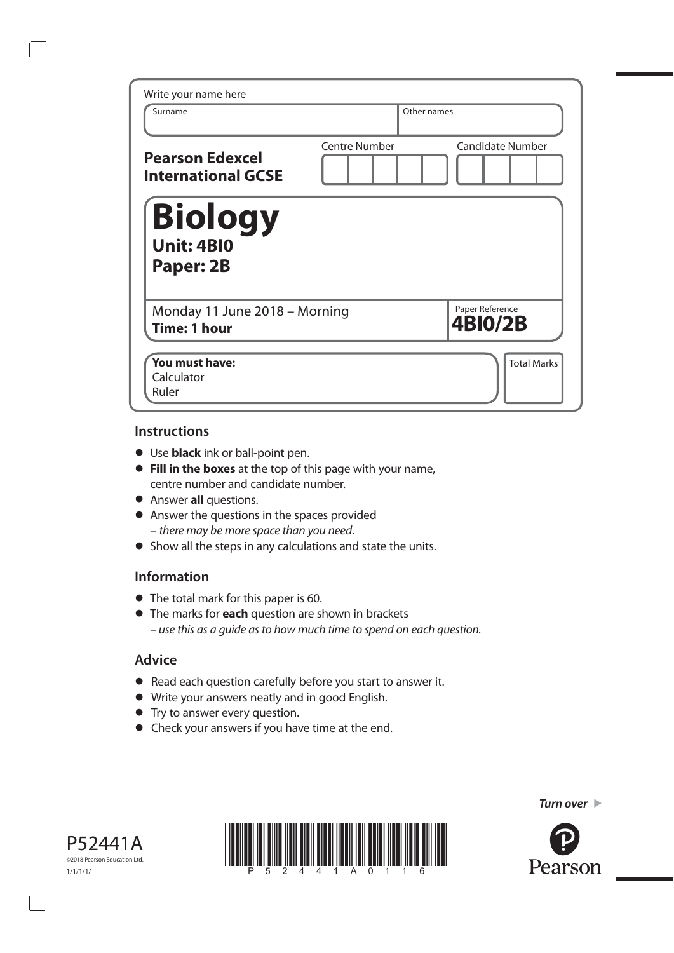| Write your name here                                 |                      |                                   |
|------------------------------------------------------|----------------------|-----------------------------------|
| Surname                                              | Other names          |                                   |
| <b>Pearson Edexcel</b><br><b>International GCSE</b>  | <b>Centre Number</b> | <b>Candidate Number</b>           |
| <b>Biology</b><br><b>Unit: 4BI0</b><br>Paper: 2B     |                      |                                   |
| Monday 11 June 2018 - Morning<br><b>Time: 1 hour</b> |                      | Paper Reference<br><b>4BI0/2B</b> |
| You must have:<br>Calculator<br>Ruler                |                      | <b>Total Marks</b>                |

## **Instructions**

- **•** Use **black** ink or ball-point pen.
- **• Fill in the boxes** at the top of this page with your name, centre number and candidate number.
- **•** Answer **all** questions.
- **•** Answer the questions in the spaces provided – there may be more space than you need.
- **•** Show all the steps in any calculations and state the units.

# **Information**

- **•** The total mark for this paper is 60.
- **•** The marks for **each** question are shown in brackets – use this as a guide as to how much time to spend on each question.

# **Advice**

- **•** Read each question carefully before you start to answer it.
- Read each question carefully before you start t<br>• Write your answers neatly and in good English.
- Write your answers neatly and<br>• Try to answer every question.
- Try to answer every question.<br>• Check your answers if you have time at the end.





*Turn over* 

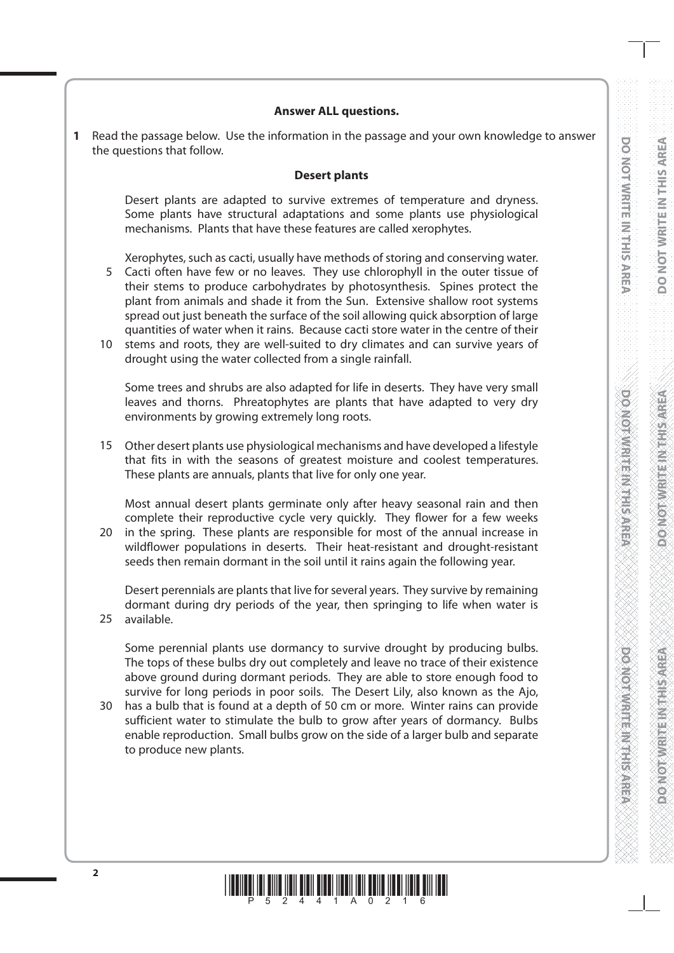**DO NOT WRITE IN THIS AREA DO NOT WRITE IN THIS AREA DO NOT WRITE IN THIS AREA OF DO NOT WRITE IN THIS AREA DO NOT WRITE IN THIS AREA DO** 

**DO NOT WRITE IN THIS AREA** 

**PORTWRITE IN THIS AREA DO NOT WRITE IN THIS AREA DO NOT WRITE IN THIS AREA DO NOT WRITE IN THIS AREA DO NOT WRI** 

**DONOrwhite Nutsidens** 

DONOUN HE MEET SYSTEM

### **Answer ALL questions.**

**1** Read the passage below. Use the information in the passage and your own knowledge to answer the questions that follow.

### **Desert plants**

Desert plants are adapted to survive extremes of temperature and dryness. Some plants have structural adaptations and some plants use physiological mechanisms. Plants that have these features are called xerophytes.

Xerophytes, such as cacti, usually have methods of storing and conserving water. 5 Cacti often have few or no leaves. They use chlorophyll in the outer tissue of their stems to produce carbohydrates by photosynthesis. Spines protect the plant from animals and shade it from the Sun. Extensive shallow root systems spread out just beneath the surface of the soil allowing quick absorption of large quantities of water when it rains. Because cacti store water in the centre of their

stems and roots, they are well-suited to dry climates and can survive years of drought using the water collected from a single rainfall. 10

Some trees and shrubs are also adapted for life in deserts. They have very small leaves and thorns. Phreatophytes are plants that have adapted to very dry environments by growing extremely long roots.

Other desert plants use physiological mechanisms and have developed a lifestyle 15 that fits in with the seasons of greatest moisture and coolest temperatures. These plants are annuals, plants that live for only one year.

Most annual desert plants germinate only after heavy seasonal rain and then complete their reproductive cycle very quickly. They flower for a few weeks in the spring. These plants are responsible for most of the annual increase in wildflower populations in deserts. Their heat-resistant and drought-resistant seeds then remain dormant in the soil until it rains again the following year. 20

Desert perennials are plants that live for several years. They survive by remaining dormant during dry periods of the year, then springing to life when water is available. 25

Some perennial plants use dormancy to survive drought by producing bulbs. The tops of these bulbs dry out completely and leave no trace of their existence above ground during dormant periods. They are able to store enough food to survive for long periods in poor soils. The Desert Lily, also known as the Ajo,

has a bulb that is found at a depth of 50 cm or more. Winter rains can provide sufficient water to stimulate the bulb to grow after years of dormancy. Bulbs enable reproduction. Small bulbs grow on the side of a larger bulb and separate to produce new plants. 30

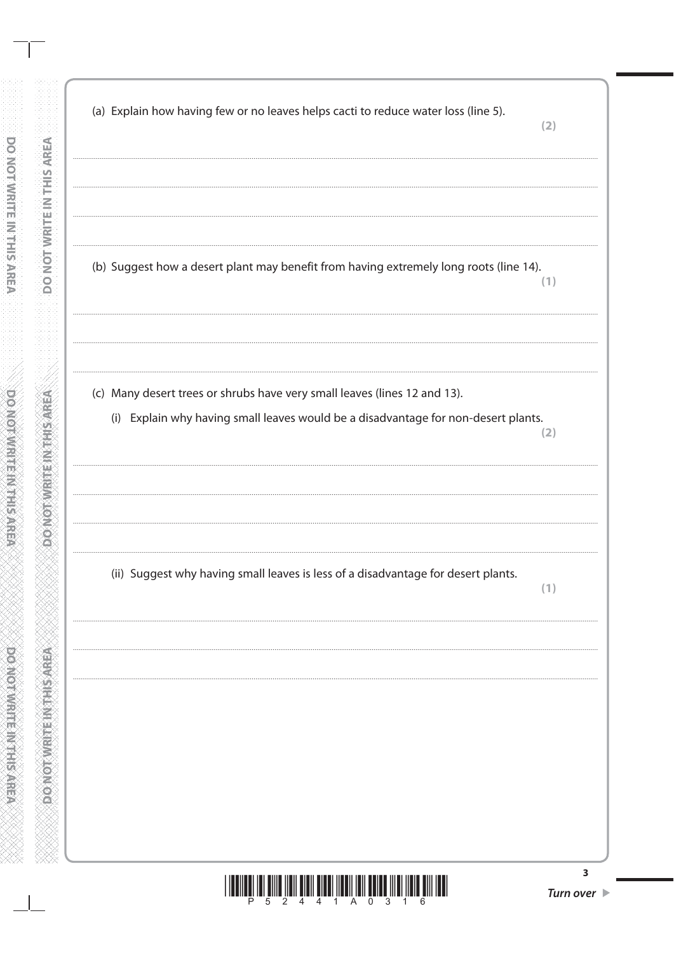| HE REPORT OF PARTNER IN THE VARIATION CONTINUES. A 2002 2003<br>,这个人的地方,我们的一个人的人的人,我们的一个人的人,我们的一个人的人,我们的一个人的人,我们的人,我们的人,我们就会把我们的人,我们也不能把我们的人。<br>(重)電話 アドランド・コンティー コンティー・アイズ・アイディ |                                     |
|-----------------------------------------------------------------------------------------------------------------------------------------------------------------------------------|-------------------------------------|
|                                                                                                                                                                                   | ■■■ キャンチャー アイ・バイン にっぽんこう アイソングインス 風 |
|                                                                                                                                                                                   |                                     |
|                                                                                                                                                                                   |                                     |
|                                                                                                                                                                                   |                                     |
|                                                                                                                                                                                   |                                     |
|                                                                                                                                                                                   |                                     |
|                                                                                                                                                                                   |                                     |
|                                                                                                                                                                                   |                                     |
|                                                                                                                                                                                   |                                     |
|                                                                                                                                                                                   |                                     |
|                                                                                                                                                                                   |                                     |
|                                                                                                                                                                                   |                                     |
|                                                                                                                                                                                   |                                     |
|                                                                                                                                                                                   |                                     |
|                                                                                                                                                                                   |                                     |
|                                                                                                                                                                                   |                                     |
|                                                                                                                                                                                   |                                     |
|                                                                                                                                                                                   |                                     |
|                                                                                                                                                                                   |                                     |
|                                                                                                                                                                                   |                                     |
|                                                                                                                                                                                   |                                     |
|                                                                                                                                                                                   |                                     |
|                                                                                                                                                                                   |                                     |
|                                                                                                                                                                                   |                                     |
|                                                                                                                                                                                   |                                     |
|                                                                                                                                                                                   |                                     |
|                                                                                                                                                                                   |                                     |
|                                                                                                                                                                                   |                                     |
|                                                                                                                                                                                   |                                     |
|                                                                                                                                                                                   |                                     |
|                                                                                                                                                                                   |                                     |
|                                                                                                                                                                                   |                                     |
|                                                                                                                                                                                   |                                     |
|                                                                                                                                                                                   |                                     |
|                                                                                                                                                                                   |                                     |
|                                                                                                                                                                                   |                                     |
|                                                                                                                                                                                   |                                     |
|                                                                                                                                                                                   |                                     |
|                                                                                                                                                                                   |                                     |
|                                                                                                                                                                                   |                                     |
|                                                                                                                                                                                   |                                     |
|                                                                                                                                                                                   |                                     |
|                                                                                                                                                                                   |                                     |
|                                                                                                                                                                                   |                                     |
|                                                                                                                                                                                   |                                     |
|                                                                                                                                                                                   |                                     |
|                                                                                                                                                                                   |                                     |
|                                                                                                                                                                                   |                                     |
|                                                                                                                                                                                   |                                     |
|                                                                                                                                                                                   |                                     |
|                                                                                                                                                                                   |                                     |
|                                                                                                                                                                                   |                                     |
|                                                                                                                                                                                   |                                     |
|                                                                                                                                                                                   |                                     |
|                                                                                                                                                                                   |                                     |
|                                                                                                                                                                                   |                                     |
|                                                                                                                                                                                   |                                     |
|                                                                                                                                                                                   |                                     |
|                                                                                                                                                                                   |                                     |
|                                                                                                                                                                                   |                                     |
|                                                                                                                                                                                   |                                     |
|                                                                                                                                                                                   |                                     |
|                                                                                                                                                                                   |                                     |
|                                                                                                                                                                                   | I                                   |
|                                                                                                                                                                                   |                                     |
|                                                                                                                                                                                   |                                     |
|                                                                                                                                                                                   |                                     |
|                                                                                                                                                                                   |                                     |
|                                                                                                                                                                                   |                                     |
|                                                                                                                                                                                   |                                     |
|                                                                                                                                                                                   |                                     |
|                                                                                                                                                                                   |                                     |
|                                                                                                                                                                                   |                                     |
|                                                                                                                                                                                   |                                     |
|                                                                                                                                                                                   |                                     |

| I IONINGI INI DIIN INII DIDII DIGO INDII IDII DOMENI IINI INDI DIII IDDI<br>31         | 3<br><b>Turn ove</b> |
|----------------------------------------------------------------------------------------|----------------------|
|                                                                                        |                      |
|                                                                                        |                      |
|                                                                                        |                      |
|                                                                                        |                      |
|                                                                                        |                      |
|                                                                                        |                      |
|                                                                                        | (1)                  |
| (ii) Suggest why having small leaves is less of a disadvantage for desert plants.      |                      |
|                                                                                        |                      |
|                                                                                        |                      |
| (i) Explain why having small leaves would be a disadvantage for non-desert plants.     | (2)                  |
| (c) Many desert trees or shrubs have very small leaves (lines 12 and 13).              |                      |
|                                                                                        |                      |
|                                                                                        |                      |
| (b) Suggest how a desert plant may benefit from having extremely long roots (line 14). | (1)                  |
|                                                                                        |                      |
|                                                                                        |                      |
|                                                                                        |                      |
| (a) Explain how having few or no leaves helps cacti to reduce water loss (line 5).     | (2)                  |
|                                                                                        |                      |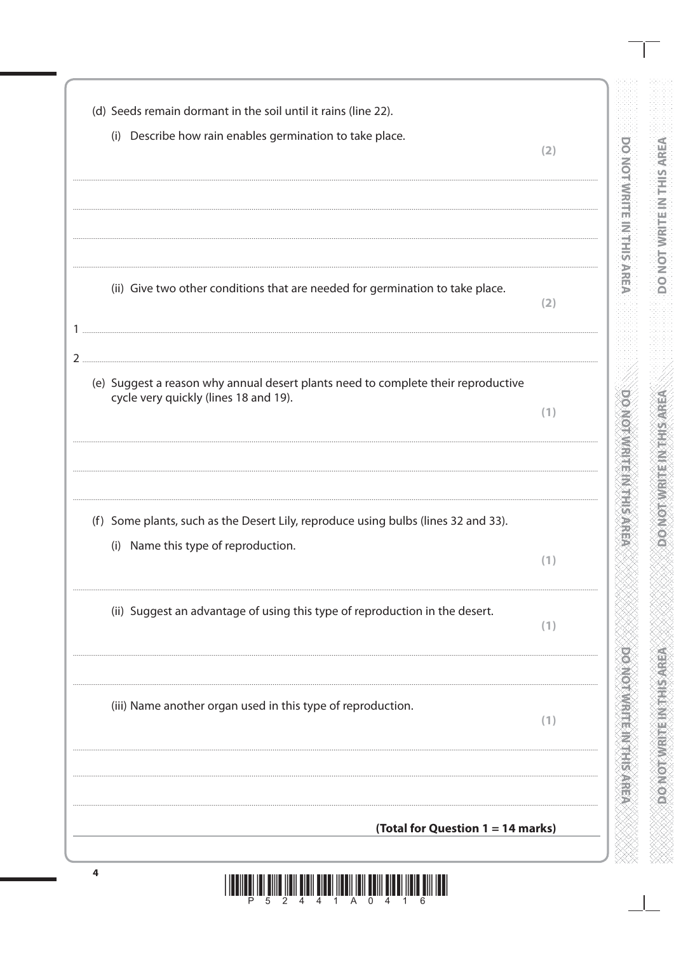| (iii) Name another organ used in this type of reproduction.                                                                | (1) | S                                |
|----------------------------------------------------------------------------------------------------------------------------|-----|----------------------------------|
| (ii) Suggest an advantage of using this type of reproduction in the desert.                                                | (1) |                                  |
| (f) Some plants, such as the Desert Lily, reproduce using bulbs (lines 32 and 33).<br>(i) Name this type of reproduction.  | (1) |                                  |
| (e) Suggest a reason why annual desert plants need to complete their reproductive<br>cycle very quickly (lines 18 and 19). | (1) | 页                                |
| (ii) Give two other conditions that are needed for germination to take place.                                              | (2) |                                  |
| (i) Describe how rain enables germination to take place.                                                                   | (2) | <b>DO NOT WRITE IN THIS AREA</b> |

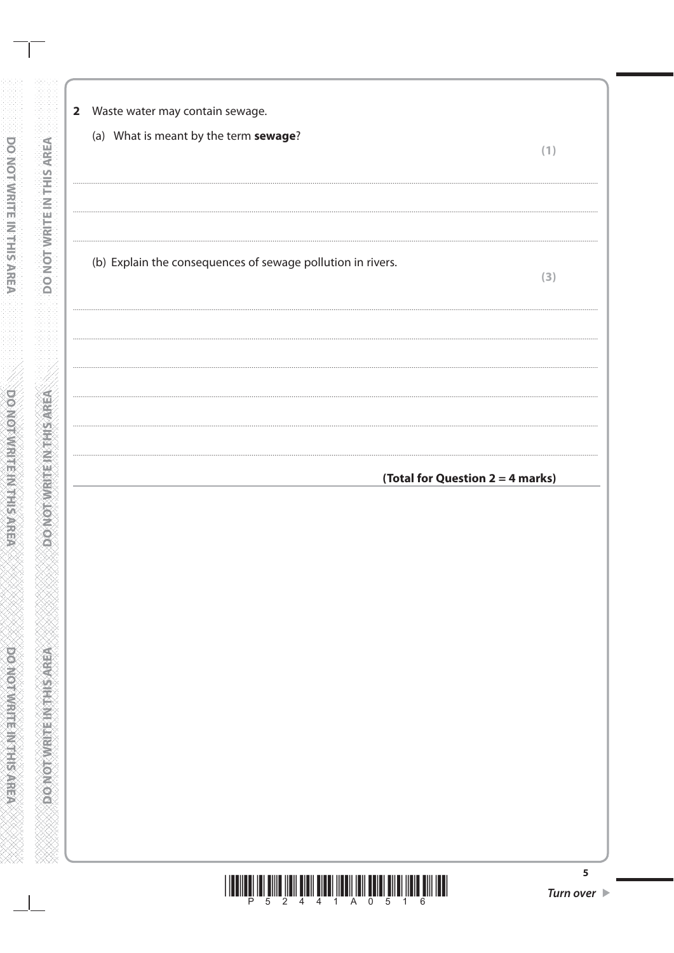|                                 |                                         |                                                                                                     | 5   |
|---------------------------------|-----------------------------------------|-----------------------------------------------------------------------------------------------------|-----|
| <b>PROVIDINATION</b>            | <b>DONORVARIZE IN THIS AREA</b>         |                                                                                                     |     |
| <b>DOVIDIAMENTE ANNI PRATES</b> | <b>TESTARES</b><br><b>DO NOTWRITEIN</b> | (Total for Question 2 = 4 marks)                                                                    |     |
| <b>DO NOT WRITEIN THIS AREA</b> | DO NOT WRITE IN THIS AREA               | (b) Explain the consequences of sewage pollution in rivers.                                         | (3) |
|                                 |                                         | Waste water may contain sewage.<br>$\overline{\mathbf{2}}$<br>(a) What is meant by the term sewage? | (1) |

 $\overline{\phantom{a}}$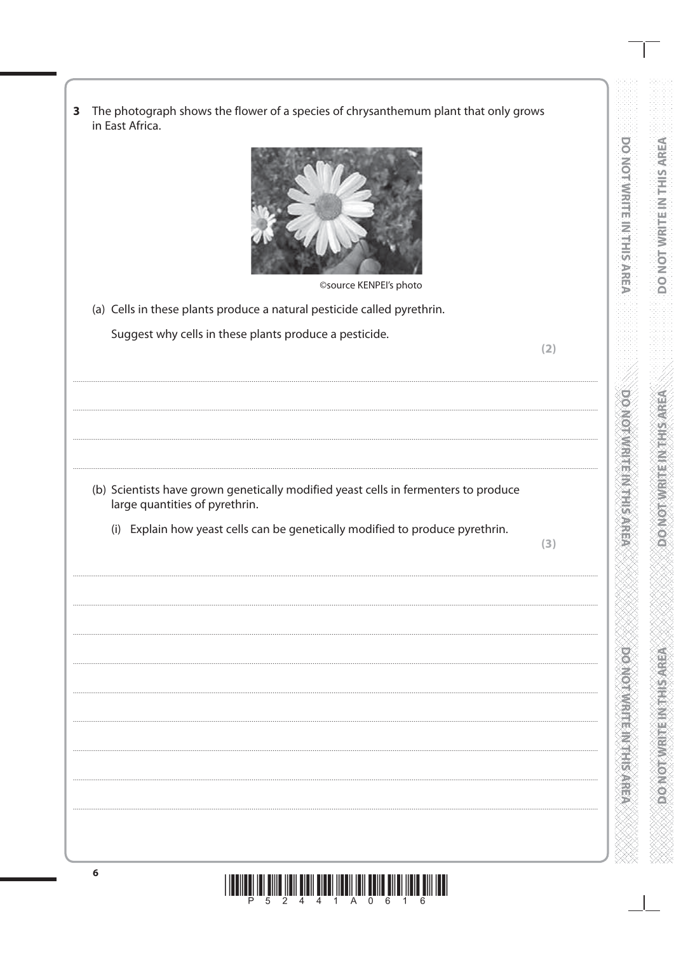| <b>3</b> The photograph shows the flower of a species of chrysanthemum plant that only grows |
|----------------------------------------------------------------------------------------------|
| in East Africa.                                                                              |



©source KENPEI's photo

(a) Cells in these plants produce a natural pesticide called pyrethrin.

Suggest why cells in these plants produce a pesticide.

 $(2)$ 

**DO NOT WRITE IN THIS AREA** 

**DONOING INTERNATIONS** 

**DO NOT WRITEIN THIS ARE!** 

DO NOT WRITE IN THIS AREA

(b) Scientists have grown genetically modified yeast cells in fermenters to produce large quantities of pyrethrin.

(i) Explain how yeast cells can be genetically modified to produce pyrethrin.

 $(3)$ 

DO NOTWRITE IN THIS AREA

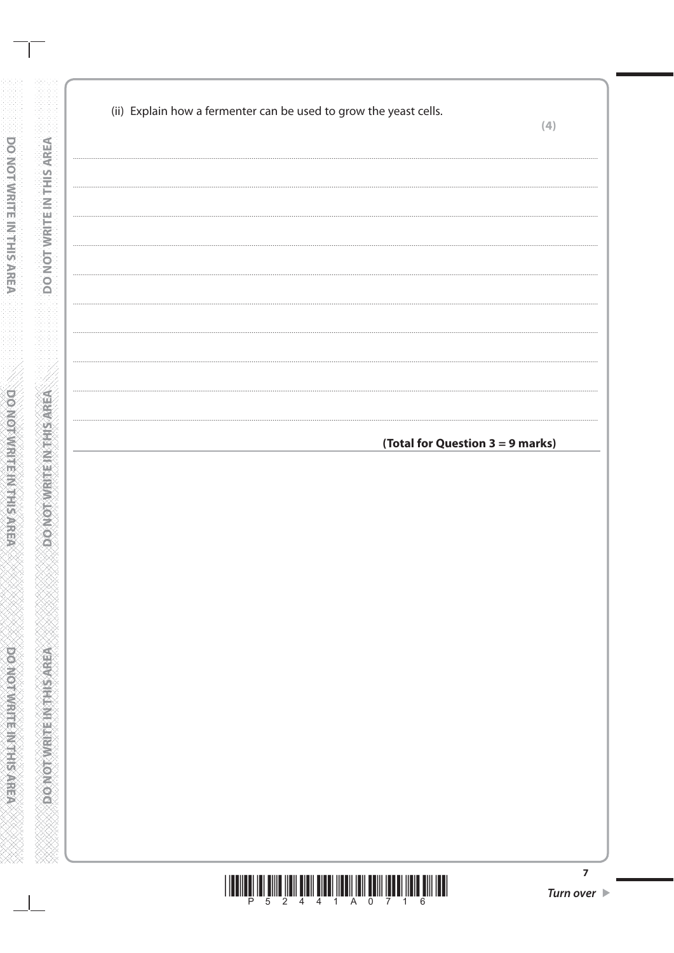| (ii) Explain how a fermenter can be used to grow the yeast cells. | (4) |
|-------------------------------------------------------------------|-----|
|                                                                   |     |
|                                                                   |     |
|                                                                   |     |
|                                                                   |     |
|                                                                   |     |
|                                                                   |     |
|                                                                   |     |
| (Total for Question 3 = 9 marks)                                  |     |
|                                                                   |     |
|                                                                   |     |
|                                                                   |     |
|                                                                   |     |
|                                                                   |     |
|                                                                   |     |
|                                                                   |     |
|                                                                   |     |
|                                                                   |     |
|                                                                   |     |
|                                                                   |     |
|                                                                   |     |
|                                                                   |     |
|                                                                   |     |
|                                                                   |     |

DO NOT WRITE IN THIS AREA

**OO MOT WRITE IN THIS AREA** 

**DO NOTWRITE IN THIS AREA** 

.<br>Hik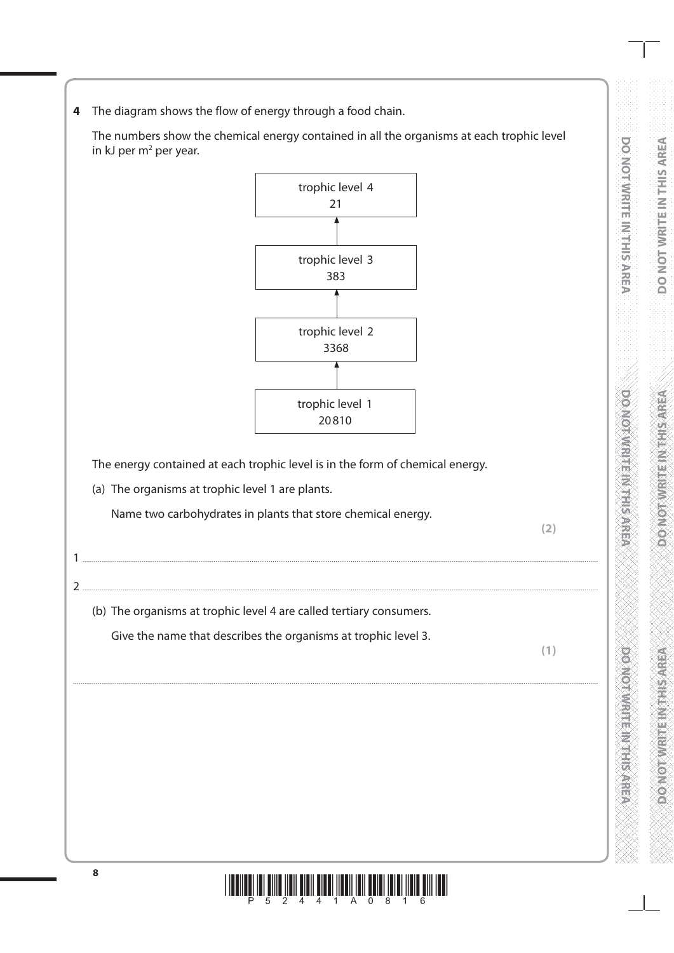**4** The diagram shows the flow of energy through a food chain.

 The numbers show the chemical energy contained in all the organisms at each trophic level in kJ per m<sup>2</sup> per year.



**PORTWRITE IN THIS AREA DO NOT WRITE IN THIS AREA DO NOT WRITE IN THIS AREA DO NOT WRITE IN THIS AREA DO NOT WRI** 

**CENTER ATTENTS IN TESTIES** 

**DONORMENT REALS AND STREET** 

**DONOTAVRITE IN THIS AREA** 

**DO NOT WRITE IN THIS AREA** 

DO NOT WRITE IN THIS AREA

 **DO NOT WRITE IN THIS AREA DO NOT WRITE IN THIS AREA OF DO NOT WRITE IN THIS AREA DO NOT WRITE IN THIS AREA DO** 

**DOMOTHUR REINTERFERE** 

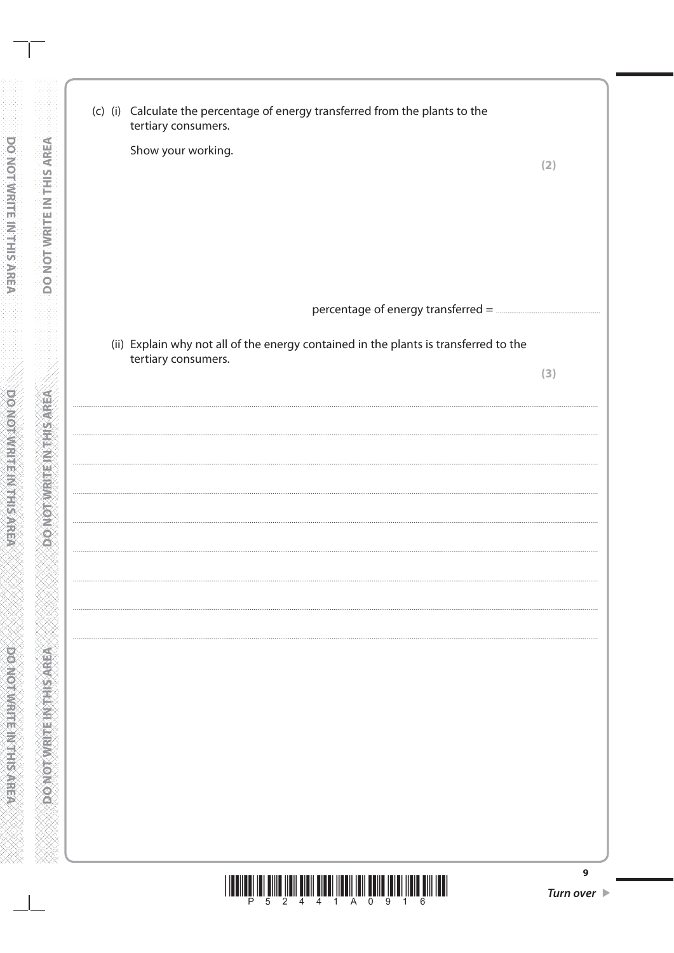| (c) (i) Calculate the percentage of energy transferred from the plants to the<br>tertiary consumers. |     |
|------------------------------------------------------------------------------------------------------|-----|
| Show your working.                                                                                   | (2) |
|                                                                                                      |     |
| (ii) Explain why not all of the energy contained in the plants is transferred to the                 |     |
| tertiary consumers.                                                                                  | (3) |
|                                                                                                      |     |
|                                                                                                      |     |
|                                                                                                      |     |
|                                                                                                      |     |
|                                                                                                      |     |
|                                                                                                      |     |
|                                                                                                      |     |
|                                                                                                      |     |
|                                                                                                      |     |
|                                                                                                      |     |
|                                                                                                      |     |
|                                                                                                      |     |
|                                                                                                      |     |

 $\overline{\phantom{a}}$ 

DO NOT WRITE IN THIS AREA

**OO NOT WRITE IN SHEAR** 

**DOOKOONMENT PRESERVE** 

.<br>Historia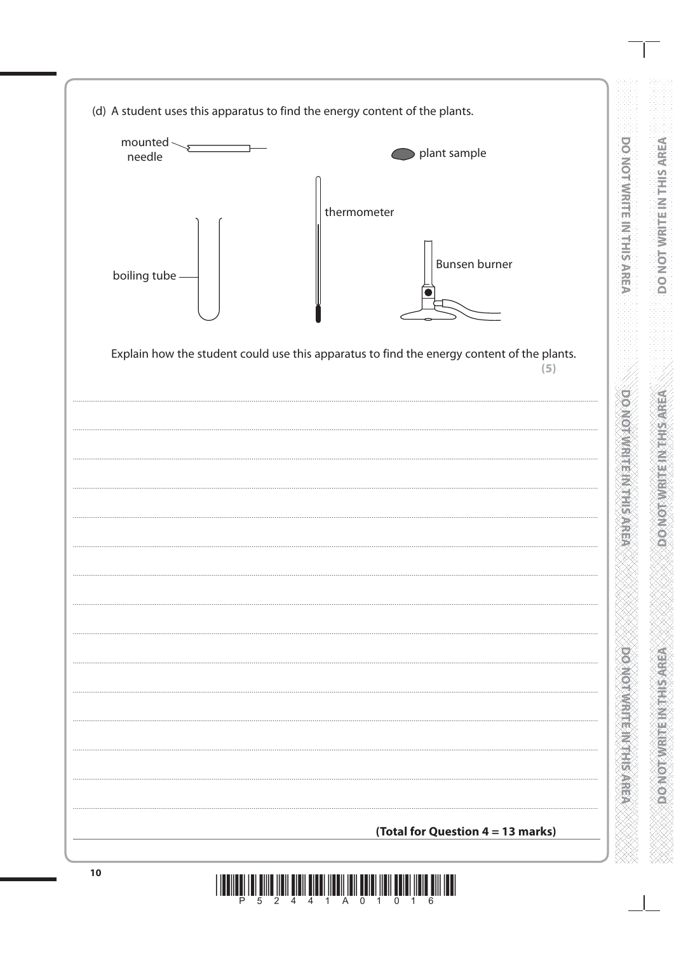

 $4 \t 4 \t 1 \t A$ 

 $-0 - 1$ 

5 -21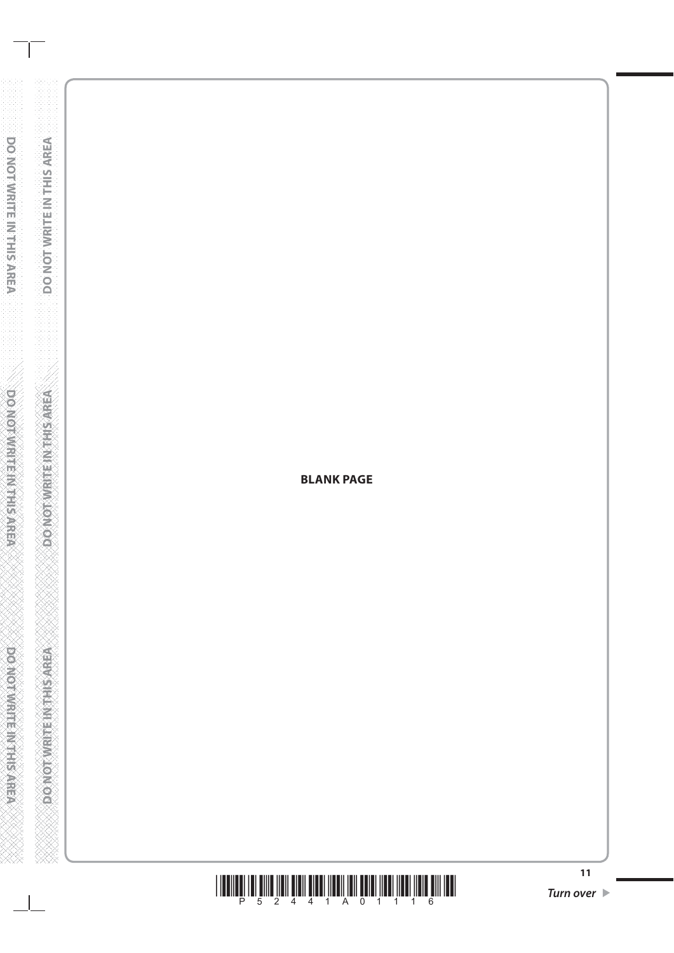| I IODINIA IN DINA NAN BIAN BIAN NADI NA BINA DA BINA NADI NA BINA DAN NADI | Turn over |
|----------------------------------------------------------------------------|-----------|
| P 5 2 4 4 1 A 0 1 1 1                                                      |           |

**DOOKOTAIREMENTSREAR** 

 $\begin{array}{c|c} \hline \hline \end{array}$ 

**DONOTWRITEINTHISAREA** 

DO NOT WRITE IN THIS AREA

DO NOT WRITE IN THIS AREA

**BLANK PAGE**

**DO DO NOT WRITE IN THIS AREA DO NOT WRITE IN THIS AREA DO NOT WRITE IN THIS AREA DO NOT WRITE IN THIS AREA DO NO** 

 $\Box\Box$ 

DO NOT WRITE IN THIS AREA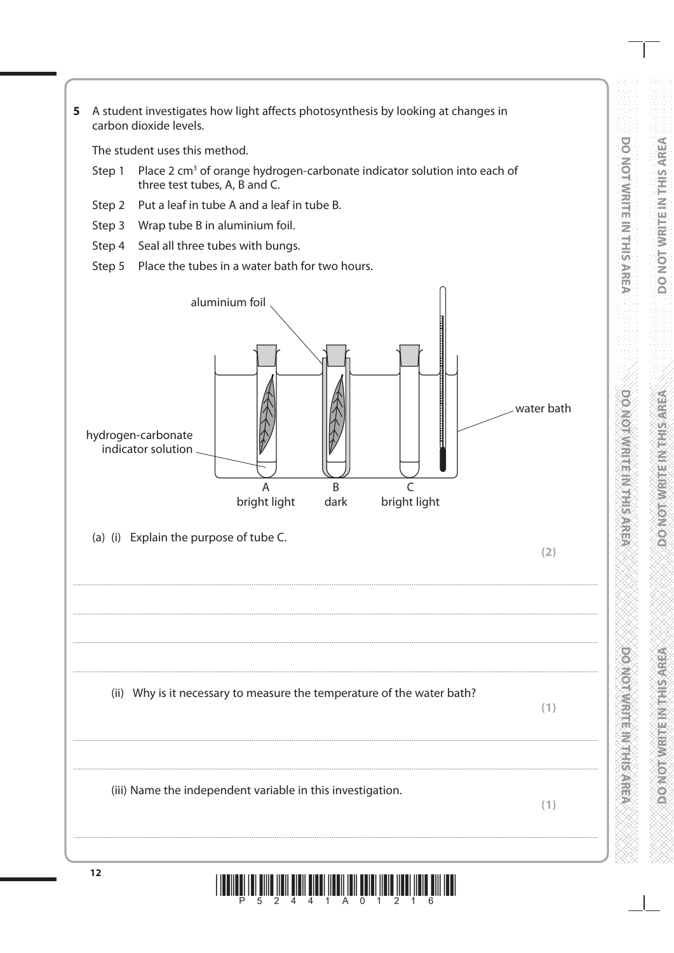

**DO NOT WRITE IN THIS AREA** 

**DOMOTOWRITE IN THIS ARE!** 

**DONOTAVRITE IN THIS AREA** 

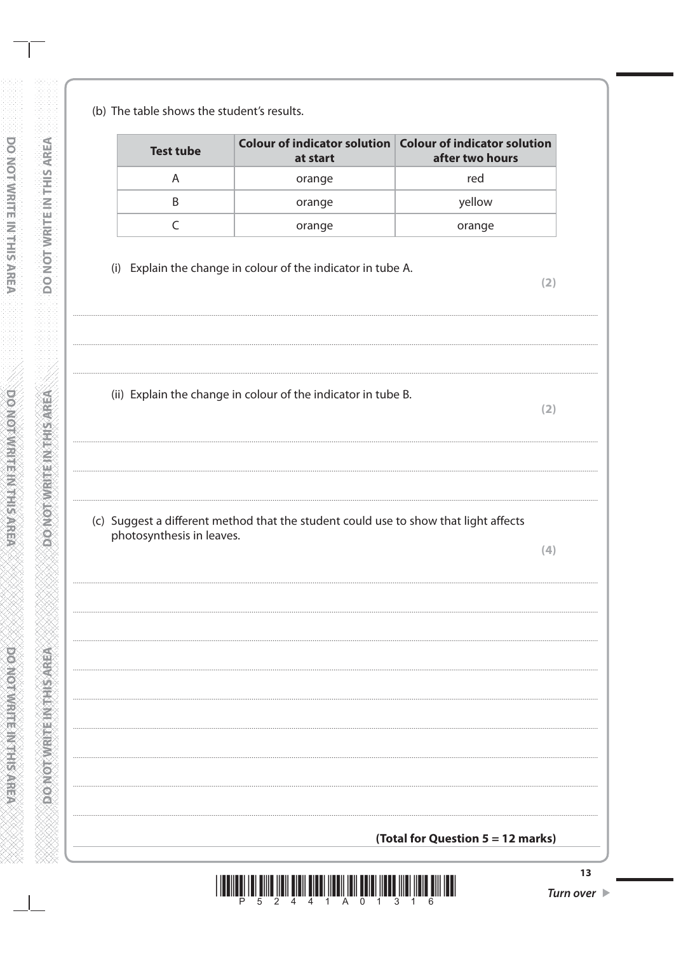|                                 | <b>Test tube</b>          | at start                                                                             | Colour of indicator solution Colour of indicator solution<br>after two hours |
|---------------------------------|---------------------------|--------------------------------------------------------------------------------------|------------------------------------------------------------------------------|
|                                 | A                         | orange                                                                               | red                                                                          |
|                                 | B                         | orange                                                                               | yellow                                                                       |
| DO NOT WRITE IN THIS AREA       | $\mathsf C$               | orange                                                                               | orange                                                                       |
|                                 | (i)                       | Explain the change in colour of the indicator in tube A.                             | (2)                                                                          |
|                                 |                           | (ii) Explain the change in colour of the indicator in tube B.                        | (2)                                                                          |
| <b>ROX</b>                      | photosynthesis in leaves. | (c) Suggest a different method that the student could use to show that light affects | (4)                                                                          |
| <b>DONOT WRITE IN THIS AREA</b> |                           |                                                                                      |                                                                              |
|                                 |                           |                                                                                      | (Total for Question 5 = 12 marks)                                            |

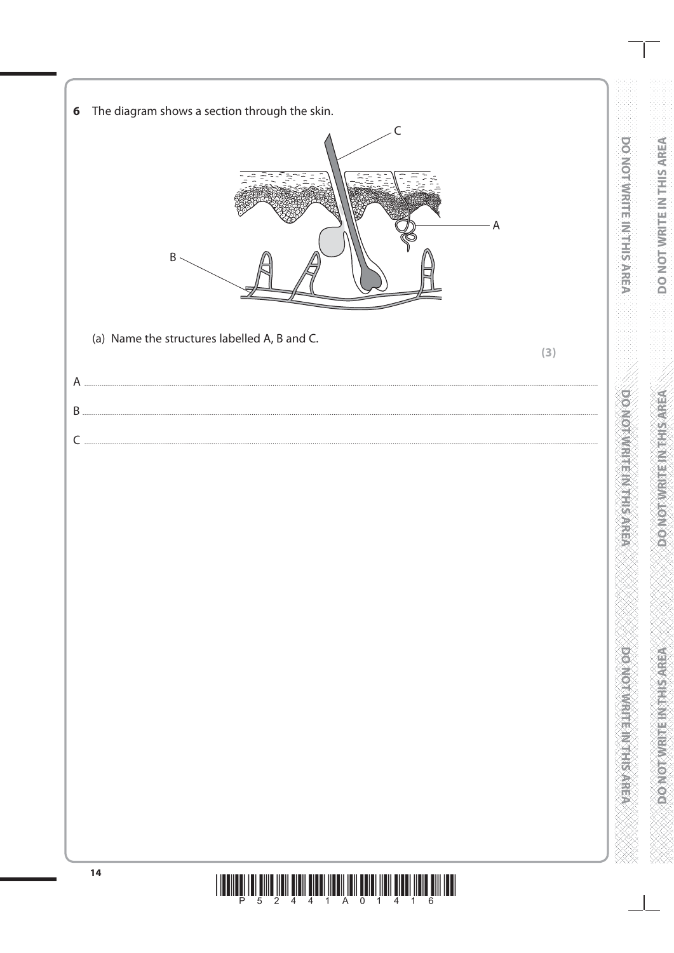| The diagram shows a section through the skin.<br>6<br>Α<br>$\sf B$ | <b>DO NOT WRITEIN THIS AREA</b>        | <b>DO NOT WRITEIN THIS AREA</b> |
|--------------------------------------------------------------------|----------------------------------------|---------------------------------|
| (a) Name the structures labelled A, B and C.<br>(3)                |                                        |                                 |
| A<br>B<br>$\mathsf{C}$                                             | <b>POSTOLER HERE</b><br>Ō,<br>li<br>20 | <b>DONOTWRITENTHISARE</b>       |
|                                                                    | <b>DO NO RUE ITE VISITES</b>           | <b>DONOTWRITEIN THIS AREA</b>   |
| 14                                                                 |                                        |                                 |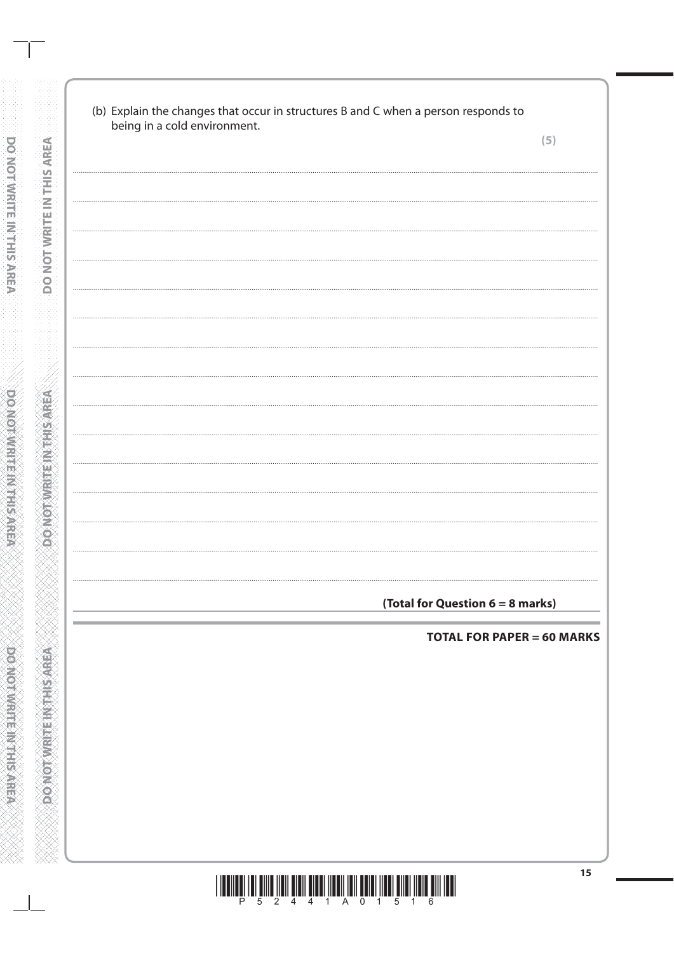| (b) Explain the changes that occur in structures B and C when a person responds to<br>being in a cold environment. |                                   |
|--------------------------------------------------------------------------------------------------------------------|-----------------------------------|
|                                                                                                                    | (5)                               |
|                                                                                                                    |                                   |
|                                                                                                                    |                                   |
|                                                                                                                    |                                   |
| .                                                                                                                  |                                   |
|                                                                                                                    |                                   |
|                                                                                                                    |                                   |
|                                                                                                                    |                                   |
|                                                                                                                    |                                   |
|                                                                                                                    |                                   |
|                                                                                                                    |                                   |
|                                                                                                                    |                                   |
|                                                                                                                    |                                   |
|                                                                                                                    |                                   |
|                                                                                                                    |                                   |
|                                                                                                                    |                                   |
|                                                                                                                    |                                   |
|                                                                                                                    |                                   |
|                                                                                                                    | (Total for Question 6 = 8 marks)  |
|                                                                                                                    | <b>TOTAL FOR PAPER = 60 MARKS</b> |
|                                                                                                                    |                                   |
|                                                                                                                    |                                   |
|                                                                                                                    |                                   |
|                                                                                                                    |                                   |
|                                                                                                                    |                                   |
|                                                                                                                    |                                   |
|                                                                                                                    |                                   |
|                                                                                                                    |                                   |
|                                                                                                                    |                                   |

 $\overline{\phantom{a}}$ 

DO NOT WRITE IN THIS AREA

**DO NOT WRITE IN THIS AREA** 

DOMOTVIRITE IN THE AREA